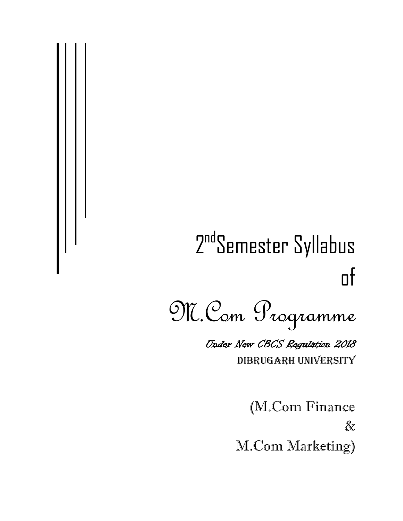# 2<sup>nd</sup>Semester Syllabus of

M.Com Programme Under New CBCS Regulation 2018 DIBRUGARH UNIVERSITY

> (M.Com Finance & M.Com Marketing)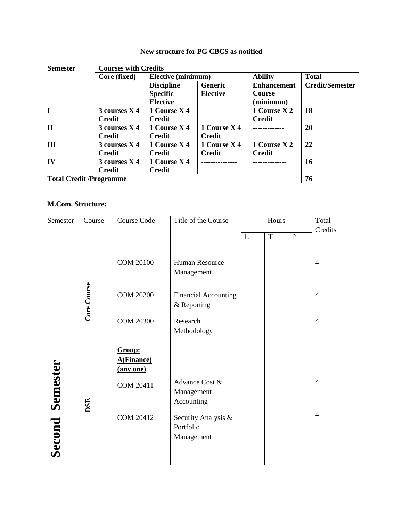| <b>Semester</b>                | <b>Courses with Credits</b> |                           |                 |                    |                        |
|--------------------------------|-----------------------------|---------------------------|-----------------|--------------------|------------------------|
|                                | Core (fixed)                | <b>Elective (minimum)</b> |                 | <b>Ability</b>     | <b>Total</b>           |
|                                |                             | <b>Discipline</b>         | <b>Generic</b>  | <b>Enhancement</b> | <b>Credit/Semester</b> |
|                                |                             | <b>Specific</b>           | <b>Elective</b> | <b>Course</b>      |                        |
|                                |                             | <b>Elective</b>           |                 | (minimum)          |                        |
|                                | $3$ courses $X$ 4           | 1 Course X 4              |                 | 1 Course X 2       | 18                     |
|                                | <b>Credit</b>               | <b>Credit</b>             |                 | <b>Credit</b>      |                        |
| $\mathbf{I}$                   | 3 courses X 4               | 1 Course X 4              | 1 Course X 4    |                    | 20                     |
|                                | <b>Credit</b>               | <b>Credit</b>             | <b>Credit</b>   |                    |                        |
| III                            | 3 courses X 4               | 1 Course X 4              | 1 Course X 4    | 1 Course X 2       | 22                     |
|                                | <b>Credit</b>               | <b>Credit</b>             | <b>Credit</b>   | <b>Credit</b>      |                        |
| IV                             | 3 courses X 4               | 1 Course X 4              |                 |                    | 16                     |
|                                | <b>Credit</b>               | <b>Credit</b>             |                 |                    |                        |
| <b>Total Credit /Programme</b> |                             |                           |                 |                    | 76                     |

#### **New structure for PG CBCS as notified**

## **M.Com. Structure:**

| Semester               | Course      | Course Code                              | Title of the Course                            |              | Hours       |           | Total          |
|------------------------|-------------|------------------------------------------|------------------------------------------------|--------------|-------------|-----------|----------------|
|                        |             |                                          |                                                | $\mathbf{L}$ | $\mathbf T$ | ${\bf P}$ | Credits        |
|                        |             | <b>COM 20100</b>                         | <b>Human Resource</b><br>Management            |              |             |           | $\overline{4}$ |
|                        | Core Course | <b>COM 20200</b>                         | <b>Financial Accounting</b><br>& Reporting     |              |             |           | $\overline{4}$ |
|                        |             | <b>COM 20300</b>                         | Research<br>Methodology                        |              |             |           | $\overline{4}$ |
|                        |             | Group:<br><b>A(Finance)</b><br>(any one) |                                                |              |             |           |                |
|                        | DSE         | COM 20411                                | Advance Cost &<br>Management<br>Accounting     |              |             |           | $\overline{4}$ |
| <b>Second Semester</b> |             | <b>COM 20412</b>                         | Security Analysis &<br>Portfolio<br>Management |              |             |           | $\overline{4}$ |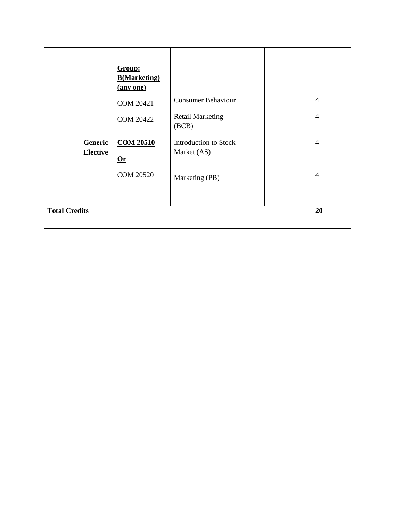|                      | Generic<br><b>Elective</b> | Group:<br><b>B</b> (Marketing)<br>(any one)<br><b>COM 20421</b><br><b>COM 20422</b><br><b>COM 20510</b><br>$\mathbf{0}$ r<br><b>COM 20520</b> | <b>Consumer Behaviour</b><br><b>Retail Marketing</b><br>(BCB)<br>Introduction to Stock<br>Market (AS)<br>Marketing (PB) |  | $\overline{4}$<br>$\overline{4}$<br>$\overline{4}$<br>$\overline{4}$ |
|----------------------|----------------------------|-----------------------------------------------------------------------------------------------------------------------------------------------|-------------------------------------------------------------------------------------------------------------------------|--|----------------------------------------------------------------------|
| <b>Total Credits</b> |                            |                                                                                                                                               |                                                                                                                         |  | 20                                                                   |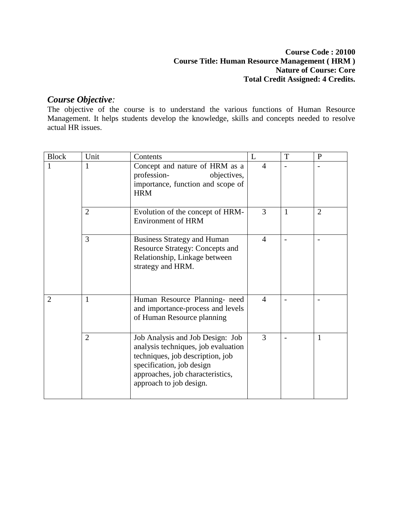#### **Course Code : 20100 Course Title: Human Resource Management ( HRM ) Nature of Course: Core Total Credit Assigned: 4 Credits.**

## *Course Objective:*

The objective of the course is to understand the various functions of Human Resource Management. It helps students develop the knowledge, skills and concepts needed to resolve actual HR issues.

| <b>Block</b>   | Unit           | Contents                                                                                                                                                                                                | L              | T | $\mathbf{P}$   |
|----------------|----------------|---------------------------------------------------------------------------------------------------------------------------------------------------------------------------------------------------------|----------------|---|----------------|
| 1              | 1              | Concept and nature of HRM as a<br>profession-<br>objectives,<br>importance, function and scope of<br><b>HRM</b>                                                                                         | $\overline{4}$ |   |                |
|                | $\overline{2}$ | Evolution of the concept of HRM-<br><b>Environment of HRM</b>                                                                                                                                           | 3              | 1 | $\overline{2}$ |
|                | 3              | <b>Business Strategy and Human</b><br><b>Resource Strategy: Concepts and</b><br>Relationship, Linkage between<br>strategy and HRM.                                                                      | 4              |   |                |
| $\overline{2}$ | $\mathbf{1}$   | Human Resource Planning- need<br>and importance-process and levels<br>of Human Resource planning                                                                                                        | $\overline{4}$ |   |                |
|                | $\overline{2}$ | Job Analysis and Job Design: Job<br>analysis techniques, job evaluation<br>techniques, job description, job<br>specification, job design<br>approaches, job characteristics,<br>approach to job design. | 3              |   | 1              |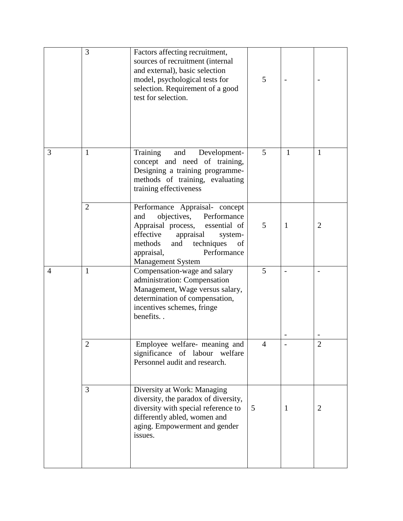|                | 3              | Factors affecting recruitment,<br>sources of recruitment (internal<br>and external), basic selection<br>model, psychological tests for<br>selection. Requirement of a good<br>test for selection.                                          | 5 |              |                |
|----------------|----------------|--------------------------------------------------------------------------------------------------------------------------------------------------------------------------------------------------------------------------------------------|---|--------------|----------------|
| 3              | $\mathbf{1}$   | Training<br>Development-<br>and<br>concept and need of training,<br>Designing a training programme-<br>methods of training, evaluating<br>training effectiveness                                                                           | 5 | $\mathbf{1}$ | 1              |
|                | $\overline{2}$ | Performance Appraisal- concept<br>objectives, Performance<br>and<br>Appraisal process,<br>essential of<br>effective<br>appraisal<br>system-<br>techniques<br>methods<br>and<br>of<br>Performance<br>appraisal,<br><b>Management System</b> | 5 | $\mathbf{1}$ | $\overline{2}$ |
| $\overline{4}$ | $\mathbf{1}$   | Compensation-wage and salary<br>administration: Compensation<br>Management, Wage versus salary,<br>determination of compensation,<br>incentives schemes, fringe<br>benefits                                                                | 5 |              |                |
|                | $\mathbf{Z}$   | Employee welfare- meaning and<br>significance of labour<br>welfare<br>Personnel audit and research.                                                                                                                                        | 4 |              | $\overline{2}$ |
|                | 3              | Diversity at Work: Managing<br>diversity, the paradox of diversity,<br>diversity with special reference to<br>differently abled, women and<br>aging. Empowerment and gender<br>issues.                                                     | 5 | $\mathbf{1}$ | $\overline{2}$ |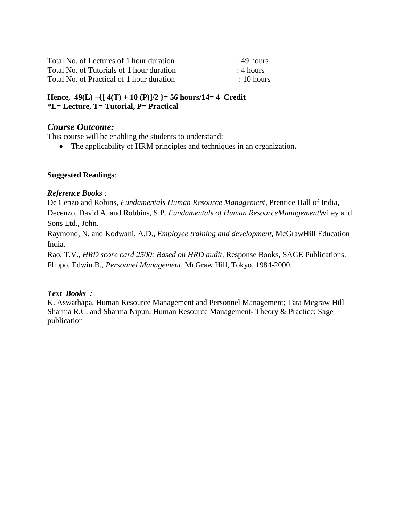| Total No. of Lectures of 1 hour duration  | $\pm$ 49 hours |
|-------------------------------------------|----------------|
| Total No. of Tutorials of 1 hour duration | $\pm 4$ hours  |
| Total No. of Practical of 1 hour duration | $\pm 10$ hours |

#### **Hence, 49(L) +{[ 4(T) + 10 (P)]/2 }= 56 hours/14= 4 Credit** \***L= Lecture, T= Tutorial, P= Practical**

## *Course Outcome:*

This course will be enabling the students to understand:

The applicability of HRM principles and techniques in an organization**.**

#### **Suggested Readings**:

#### *Reference Books :*

De Cenzo and Robins, *Fundamentals Human Resource Management*, Prentice Hall of India, Decenzo, David A. and Robbins, S.P. *Fundamentals of Human ResourceManagement*Wiley and Sons Ltd., John.

Raymond, N. and Kodwani, A.D., *Employee training and development,* McGrawHill Education India.

Rao, T.V., *HRD score card 2500: Based on HRD audit,* Response Books, SAGE Publications. Flippo, Edwin B., *Personnel Management*, McGraw Hill, Tokyo, 1984-2000.

#### *Text Books :*

K. Aswathapa, Human Resource Management and Personnel Management; Tata Mcgraw Hill Sharma R.C. and Sharma Nipun, Human Resource Management- Theory & Practice; Sage publication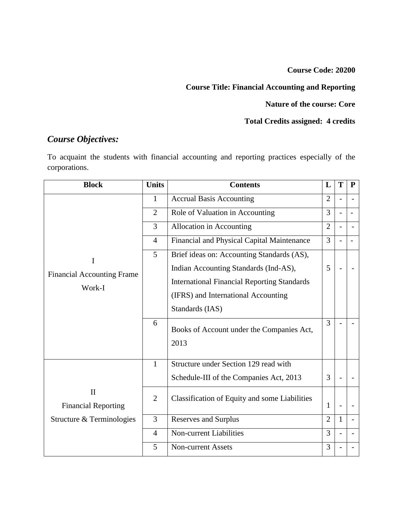**Course Code: 20200**

# **Course Title: Financial Accounting and Reporting**

## **Nature of the course: Core**

## **Total Credits assigned: 4 credits**

# *Course Objectives:*

To acquaint the students with financial accounting and reporting practices especially of the corporations.

| <b>Block</b>                               | <b>Units</b>   | <b>Contents</b>                                      | L              | T              | P |
|--------------------------------------------|----------------|------------------------------------------------------|----------------|----------------|---|
|                                            | 1              | <b>Accrual Basis Accounting</b>                      | $\overline{2}$ | $\overline{a}$ |   |
|                                            | $\overline{2}$ | Role of Valuation in Accounting                      | 3              |                |   |
|                                            | 3              | Allocation in Accounting                             | $\overline{2}$ |                |   |
|                                            | $\overline{4}$ | Financial and Physical Capital Maintenance           |                |                |   |
| I                                          | 5              | Brief ideas on: Accounting Standards (AS),           |                |                |   |
| <b>Financial Accounting Frame</b>          |                | Indian Accounting Standards (Ind-AS),                | 5              |                |   |
| Work-I                                     |                | <b>International Financial Reporting Standards</b>   |                |                |   |
|                                            |                | (IFRS) and International Accounting                  |                |                |   |
|                                            |                | Standards (IAS)                                      |                |                |   |
|                                            | 6              | Books of Account under the Companies Act,<br>2013    | 3              |                |   |
|                                            | $\mathbf{1}$   | Structure under Section 129 read with                |                |                |   |
|                                            |                | Schedule-III of the Companies Act, 2013              | 3              |                |   |
| $\mathbf{I}$<br><b>Financial Reporting</b> | $\overline{2}$ | <b>Classification of Equity and some Liabilities</b> | 1              |                |   |
| Structure & Terminologies                  | 3              | Reserves and Surplus                                 | $\overline{2}$ | 1              |   |
|                                            | 4              | <b>Non-current Liabilities</b>                       | 3              |                |   |
|                                            | 5              | <b>Non-current Assets</b>                            | 3              |                |   |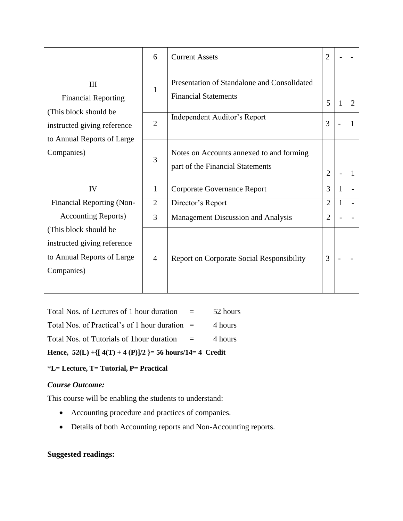|                                                                                                  | 6                                                   | <b>Current Assets</b>                                                        | 2              |   |   |
|--------------------------------------------------------------------------------------------------|-----------------------------------------------------|------------------------------------------------------------------------------|----------------|---|---|
| Ш<br><b>Financial Reporting</b>                                                                  | $\mathbf{1}$                                        | Presentation of Standalone and Consolidated<br><b>Financial Statements</b>   | 5              |   | 2 |
| (This block should be<br>instructed giving reference<br>to Annual Reports of Large<br>Companies) | Independent Auditor's Report<br>$\overline{2}$<br>3 |                                                                              |                |   |   |
|                                                                                                  | 3                                                   | Notes on Accounts annexed to and forming<br>part of the Financial Statements | $\overline{2}$ |   | 1 |
| IV                                                                                               | 1                                                   | <b>Corporate Governance Report</b>                                           | 3              | 1 |   |
| <b>Financial Reporting (Non-</b>                                                                 | $\overline{2}$                                      | Director's Report                                                            | 2              | 1 |   |
| <b>Accounting Reports</b> )                                                                      | 3                                                   | Management Discussion and Analysis                                           | $\overline{2}$ |   |   |
| (This block should be<br>instructed giving reference<br>to Annual Reports of Large<br>Companies) | 4                                                   | <b>Report on Corporate Social Responsibility</b>                             | 3              |   |   |

| Hence, $52(L) + \{ [ 4(T) + 4(P)]/2 \} = 56$ hours/14= 4 Credit |          |          |  |  |  |  |  |  |
|-----------------------------------------------------------------|----------|----------|--|--|--|--|--|--|
| Total Nos. of Tutorials of 1 hour duration                      | $\equiv$ | 4 hours  |  |  |  |  |  |  |
| Total Nos. of Practical's of 1 hour duration $=$                |          | 4 hours  |  |  |  |  |  |  |
| Total Nos. of Lectures of 1 hour duration                       | $\equiv$ | 52 hours |  |  |  |  |  |  |

## \***L= Lecture, T= Tutorial, P= Practical**

## *Course Outcome:*

This course will be enabling the students to understand:

- Accounting procedure and practices of companies.
- Details of both Accounting reports and Non-Accounting reports.

## **Suggested readings:**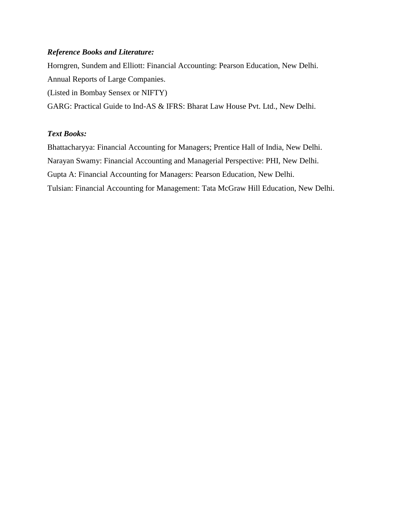#### *Reference Books and Literature:*

Horngren, Sundem and Elliott: Financial Accounting: Pearson Education, New Delhi. Annual Reports of Large Companies. (Listed in Bombay Sensex or NIFTY) GARG: Practical Guide to Ind-AS & IFRS: Bharat Law House Pvt. Ltd., New Delhi.

#### *Text Books:*

Bhattacharyya: Financial Accounting for Managers; Prentice Hall of India, New Delhi. Narayan Swamy: Financial Accounting and Managerial Perspective: PHI, New Delhi. Gupta A: Financial Accounting for Managers: Pearson Education, New Delhi. Tulsian: Financial Accounting for Management: Tata McGraw Hill Education, New Delhi.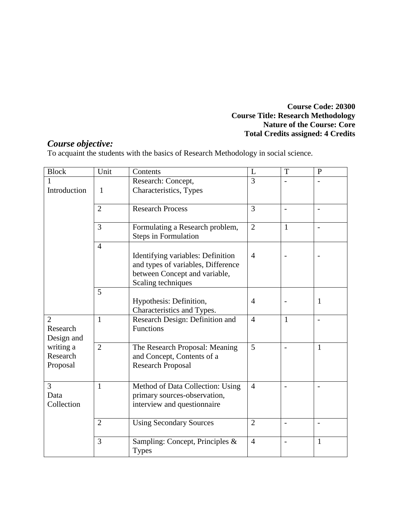#### **Course Code: 20300 Course Title: Research Methodology Nature of the Course: Core Total Credits assigned: 4 Credits**

## *Course objective:*

To acquaint the students with the basics of Research Methodology in social science.

| <b>Block</b>                             | Unit           | Contents                                                                                                                       | L              | T            | $\mathbf{P}$             |
|------------------------------------------|----------------|--------------------------------------------------------------------------------------------------------------------------------|----------------|--------------|--------------------------|
| 1                                        |                | Research: Concept,                                                                                                             | 3              |              |                          |
| Introduction                             | 1              | Characteristics, Types                                                                                                         |                |              |                          |
|                                          | $\overline{2}$ | <b>Research Process</b>                                                                                                        | 3              |              | $\overline{a}$           |
|                                          | $\overline{3}$ | Formulating a Research problem,<br><b>Steps in Formulation</b>                                                                 | $\overline{2}$ | $\mathbf{1}$ | $\overline{\phantom{a}}$ |
|                                          | $\overline{4}$ | Identifying variables: Definition<br>and types of variables, Difference<br>between Concept and variable,<br>Scaling techniques | $\overline{4}$ |              |                          |
|                                          | 5              | Hypothesis: Definition,<br>Characteristics and Types.                                                                          | $\overline{4}$ |              | 1                        |
| $\overline{2}$<br>Research<br>Design and | $\mathbf{1}$   | Research Design: Definition and<br>Functions                                                                                   | $\overline{4}$ | $\mathbf{1}$ |                          |
| writing a<br>Research<br>Proposal        | $\overline{2}$ | The Research Proposal: Meaning<br>and Concept, Contents of a<br><b>Research Proposal</b>                                       | 5              |              | $\mathbf{1}$             |
| 3<br>Data<br>Collection                  | $\mathbf{1}$   | Method of Data Collection: Using<br>primary sources-observation,<br>interview and questionnaire                                | $\overline{4}$ |              | $\overline{a}$           |
|                                          | $\overline{2}$ | <b>Using Secondary Sources</b>                                                                                                 | $\overline{2}$ | -            | $\blacksquare$           |
|                                          | 3              | Sampling: Concept, Principles &<br><b>Types</b>                                                                                | $\overline{4}$ |              | $\mathbf{1}$             |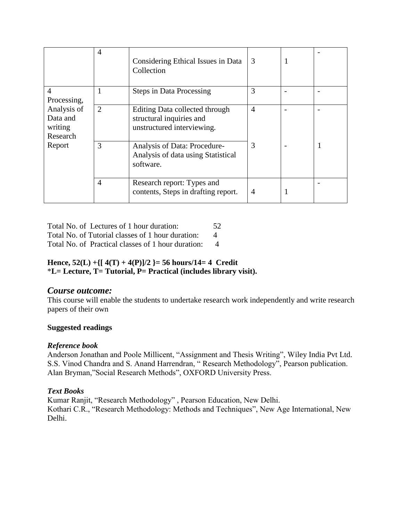|                                                          | $\overline{4}$ | Considering Ethical Issues in Data<br>Collection                                         | 3              |  |
|----------------------------------------------------------|----------------|------------------------------------------------------------------------------------------|----------------|--|
| $\overline{4}$<br>Processing,                            |                | <b>Steps in Data Processing</b>                                                          | 3              |  |
| Analysis of<br>Data and<br>writing<br>Research<br>Report | $\overline{2}$ | Editing Data collected through<br>structural inquiries and<br>unstructured interviewing. | $\overline{4}$ |  |
|                                                          | 3              | Analysis of Data: Procedure-<br>Analysis of data using Statistical<br>software.          | 3              |  |
|                                                          | $\overline{4}$ | Research report: Types and<br>contents, Steps in drafting report.                        | 4              |  |

Total No. of Lectures of 1 hour duration: 52 Total No. of Tutorial classes of 1 hour duration: 4 Total No. of Practical classes of 1 hour duration: 4

#### **Hence, 52(L) +{[ 4(T) + 4(P)]/2 }= 56 hours/14= 4 Credit** \***L= Lecture, T= Tutorial, P= Practical (includes library visit).**

## *Course outcome:*

This course will enable the students to undertake research work independently and write research papers of their own

#### **Suggested readings**

#### *Reference book*

Anderson Jonathan and Poole Millicent, "Assignment and Thesis Writing", Wiley India Pvt Ltd. S.S. Vinod Chandra and S. Anand Harrendran, " Research Methodology", Pearson publication. Alan Bryman,"Social Research Methods", OXFORD University Press.

#### *Text Books*

Kumar Ranjit, "Research Methodology" , Pearson Education, New Delhi. Kothari C.R., "Research Methodology: Methods and Techniques", New Age International, New Delhi.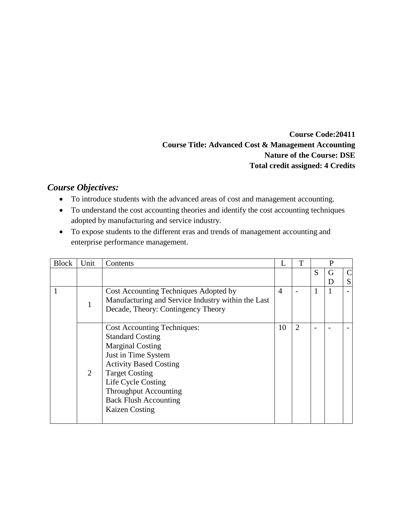**Course Code:20411 Course Title: Advanced Cost & Management Accounting Nature of the Course: DSE Total credit assigned: 4 Credits**

## *Course Objectives:*

- To introduce students with the advanced areas of cost and management accounting.
- To understand the cost accounting theories and identify the cost accounting techniques adopted by manufacturing and service industry.
- To expose students to the different eras and trends of management accounting and enterprise performance management.

| <b>Block</b> | Unit           | Contents                                           |                             | T              |   | P |   |
|--------------|----------------|----------------------------------------------------|-----------------------------|----------------|---|---|---|
|              |                |                                                    |                             |                | S | G |   |
|              |                |                                                    |                             |                |   | D | S |
|              |                | Cost Accounting Techniques Adopted by              | $\boldsymbol{\vartriangle}$ |                |   |   |   |
|              |                | Manufacturing and Service Industry within the Last |                             |                |   |   |   |
|              |                | Decade, Theory: Contingency Theory                 |                             |                |   |   |   |
|              |                |                                                    |                             |                |   |   |   |
|              |                | <b>Cost Accounting Techniques:</b>                 | 10                          | $\overline{2}$ |   |   |   |
|              |                | <b>Standard Costing</b>                            |                             |                |   |   |   |
|              |                | <b>Marginal Costing</b>                            |                             |                |   |   |   |
|              |                | Just in Time System                                |                             |                |   |   |   |
|              |                | <b>Activity Based Costing</b>                      |                             |                |   |   |   |
|              | $\overline{2}$ | <b>Target Costing</b>                              |                             |                |   |   |   |
|              |                | Life Cycle Costing                                 |                             |                |   |   |   |
|              |                | <b>Throughput Accounting</b>                       |                             |                |   |   |   |
|              |                | <b>Back Flush Accounting</b>                       |                             |                |   |   |   |
|              |                | <b>Kaizen Costing</b>                              |                             |                |   |   |   |
|              |                |                                                    |                             |                |   |   |   |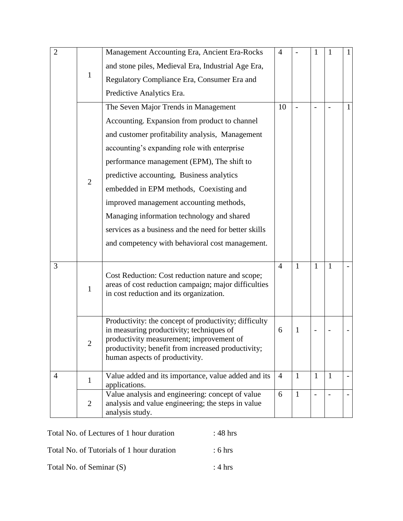| $\overline{2}$ |                | Management Accounting Era, Ancient Era-Rocks                                                      | $\overline{4}$ |              |              |                | 1 |
|----------------|----------------|---------------------------------------------------------------------------------------------------|----------------|--------------|--------------|----------------|---|
|                |                | and stone piles, Medieval Era, Industrial Age Era,                                                |                |              |              |                |   |
|                | 1              | Regulatory Compliance Era, Consumer Era and                                                       |                |              |              |                |   |
|                |                | Predictive Analytics Era.                                                                         |                |              |              |                |   |
|                |                | The Seven Major Trends in Management                                                              | 10             |              |              |                | 1 |
|                |                | Accounting. Expansion from product to channel                                                     |                |              |              |                |   |
|                |                | and customer profitability analysis, Management                                                   |                |              |              |                |   |
|                |                | accounting's expanding role with enterprise                                                       |                |              |              |                |   |
|                |                | performance management (EPM), The shift to                                                        |                |              |              |                |   |
|                | $\overline{2}$ | predictive accounting, Business analytics                                                         |                |              |              |                |   |
|                |                | embedded in EPM methods, Coexisting and                                                           |                |              |              |                |   |
|                |                | improved management accounting methods,                                                           |                |              |              |                |   |
|                |                | Managing information technology and shared                                                        |                |              |              |                |   |
|                |                | services as a business and the need for better skills                                             |                |              |              |                |   |
|                |                | and competency with behavioral cost management.                                                   |                |              |              |                |   |
|                |                |                                                                                                   |                |              |              |                |   |
| 3              |                | Cost Reduction: Cost reduction nature and scope;                                                  | $\overline{4}$ | 1            | 1            | $\mathbf{1}$   |   |
|                | $\mathbf{1}$   | areas of cost reduction campaign; major difficulties                                              |                |              |              |                |   |
|                |                | in cost reduction and its organization.                                                           |                |              |              |                |   |
|                |                |                                                                                                   |                |              |              |                |   |
|                |                | Productivity: the concept of productivity; difficulty<br>in measuring productivity; techniques of | 6              | 1            |              |                |   |
|                | $\overline{2}$ | productivity measurement; improvement of                                                          |                |              |              |                |   |
|                |                | productivity; benefit from increased productivity;<br>human aspects of productivity.              |                |              |              |                |   |
|                |                |                                                                                                   |                |              |              |                |   |
| $\overline{4}$ | $\mathbf{1}$   | Value added and its importance, value added and its<br>applications.                              | $\overline{4}$ | $\mathbf{1}$ | $\mathbf{1}$ | $\overline{1}$ |   |
|                |                | Value analysis and engineering: concept of value                                                  | 6              | $\mathbf{1}$ |              |                |   |
|                | $\overline{2}$ | analysis and value engineering; the steps in value<br>analysis study.                             |                |              |              |                |   |

| Total No. of Lectures of 1 hour duration  | $:48 \text{ hrs}$  |
|-------------------------------------------|--------------------|
| Total No. of Tutorials of 1 hour duration | $\div$ 6 hrs       |
| Total No. of Seminar (S)                  | $\therefore$ 4 hrs |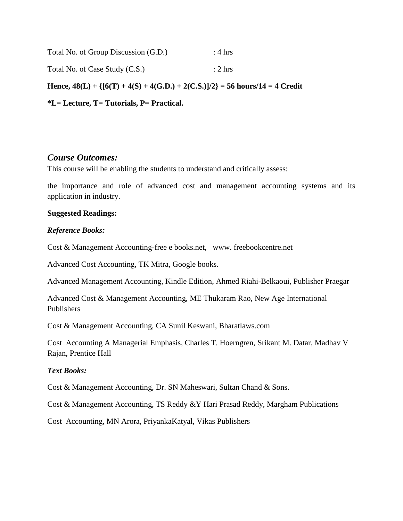| Total No. of Group Discussion (G.D.) | : $4 \text{ hrs}$  |
|--------------------------------------|--------------------|
| Total No. of Case Study (C.S.)       | $\therefore$ 2 hrs |
|                                      |                    |

**Hence, 48(L) + {[6(T) + 4(S) + 4(G.D.) + 2(C.S.)]/2} = 56 hours/14 = 4 Credit**

**\*L= Lecture, T= Tutorials, P= Practical.**

#### *Course Outcomes:*

This course will be enabling the students to understand and critically assess:

the importance and role of advanced cost and management accounting systems and its application in industry.

#### **Suggested Readings:**

#### *Reference Books:*

Cost & Management Accounting-free e books.net, www. freebookcentre.net

Advanced Cost Accounting, TK Mitra, Google books.

Advanced Management Accounting, Kindle Edition, Ahmed Riahi-Belkaoui, Publisher Praegar

Advanced Cost & Management Accounting, ME Thukaram Rao, New Age International Publishers

Cost & Management Accounting, CA Sunil Keswani, Bharatlaws.com

Cost Accounting A Managerial Emphasis, Charles T. Hoerngren, Srikant M. Datar, Madhav V Rajan, Prentice Hall

#### *Text Books:*

Cost & Management Accounting, Dr. SN Maheswari, Sultan Chand & Sons.

Cost & Management Accounting, TS Reddy &Y Hari Prasad Reddy, Margham Publications

Cost Accounting, MN Arora, PriyankaKatyal, Vikas Publishers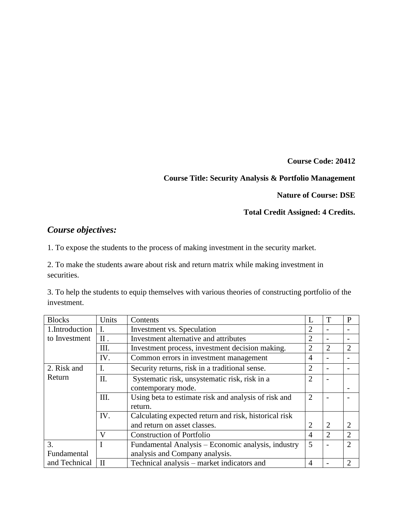**Course Code: 20412**

#### **Course Title: Security Analysis & Portfolio Management**

**Nature of Course: DSE**

#### **Total Credit Assigned: 4 Credits.**

## *Course objectives:*

1. To expose the students to the process of making investment in the security market.

2. To make the students aware about risk and return matrix while making investment in securities.

3. To help the students to equip themselves with various theories of constructing portfolio of the investment.

| <b>Blocks</b>  | Units                                        | Contents                                              |                | T              | $\mathbf{P}$                |
|----------------|----------------------------------------------|-------------------------------------------------------|----------------|----------------|-----------------------------|
| 1.Introduction |                                              | Investment vs. Speculation                            |                |                |                             |
| to Investment  | II.<br>Investment alternative and attributes |                                                       |                |                |                             |
|                | Ш.                                           | Investment process, investment decision making.       | 2              | $\overline{2}$ | $\overline{2}$              |
|                | IV.                                          | Common errors in investment management                | 4              |                |                             |
| 2. Risk and    | I.                                           | Security returns, risk in a traditional sense.        | $\overline{2}$ |                |                             |
| Return         | II.                                          | Systematic risk, unsystematic risk, risk in a         | 2              |                |                             |
|                |                                              | contemporary mode.                                    |                |                |                             |
|                | III.                                         | Using beta to estimate risk and analysis of risk and  | $\overline{2}$ |                |                             |
|                |                                              | return.                                               |                |                |                             |
|                | IV.                                          | Calculating expected return and risk, historical risk |                |                |                             |
|                |                                              | and return on asset classes.                          | 2              | $\overline{2}$ |                             |
|                | V                                            | <b>Construction of Portfolio</b>                      | 4              | 2              | $\overline{2}$              |
| 3.             |                                              | Fundamental Analysis – Economic analysis, industry    | 5              |                | $\mathcal{D}$               |
| Fundamental    |                                              | analysis and Company analysis.                        |                |                |                             |
| and Technical  | $\mathbf{I}$                                 | Technical analysis – market indicators and            | 4              |                | $\mathcal{D}_{\mathcal{A}}$ |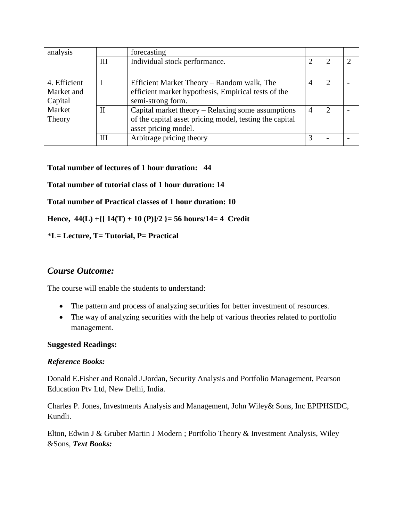| analysis     |              | forecasting                                             |   |   |
|--------------|--------------|---------------------------------------------------------|---|---|
|              | Ш            | Individual stock performance.                           |   | റ |
| 4. Efficient |              | Efficient Market Theory - Random walk, The              | 4 |   |
| Market and   |              | efficient market hypothesis, Empirical tests of the     |   |   |
| Capital      |              | semi-strong form.                                       |   |   |
| Market       | $\mathbf{I}$ | Capital market theory – Relaxing some assumptions       | 4 |   |
| Theory       |              | of the capital asset pricing model, testing the capital |   |   |
|              |              | asset pricing model.                                    |   |   |
|              | Ш            | Arbitrage pricing theory                                |   |   |

#### **Total number of lectures of 1 hour duration: 44**

#### **Total number of tutorial class of 1 hour duration: 14**

#### **Total number of Practical classes of 1 hour duration: 10**

**Hence, 44(L) +{[ 14(T) + 10 (P)]/2 }= 56 hours/14= 4 Credit**

#### \***L= Lecture, T= Tutorial, P= Practical**

#### *Course Outcome:*

The course will enable the students to understand:

- The pattern and process of analyzing securities for better investment of resources.
- The way of analyzing securities with the help of various theories related to portfolio management.

#### **Suggested Readings:**

#### *Reference Books:*

Donald E.Fisher and Ronald J.Jordan, Security Analysis and Portfolio Management, Pearson Education Ptv Ltd, New Delhi, India.

Charles P. Jones, Investments Analysis and Management, John Wiley& Sons, Inc EPIPHSIDC, Kundli.

Elton, Edwin J & Gruber Martin J Modern ; Portfolio Theory & Investment Analysis, Wiley &Sons, *Text Books:*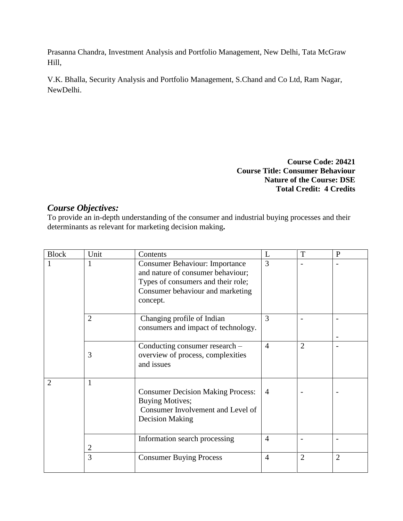Prasanna Chandra, Investment Analysis and Portfolio Management, New Delhi, Tata McGraw Hill,

V.K. Bhalla, Security Analysis and Portfolio Management, S.Chand and Co Ltd, Ram Nagar, NewDelhi.

> **Course Code: 20421 Course Title: Consumer Behaviour Nature of the Course: DSE Total Credit: 4 Credits**

## *Course Objectives:*

To provide an in-depth understanding of the consumer and industrial buying processes and their determinants as relevant for marketing decision making**.**

| <b>Block</b>   | Unit           | Contents                                                                                                                                                         | L              | T              | $\mathbf{P}$   |
|----------------|----------------|------------------------------------------------------------------------------------------------------------------------------------------------------------------|----------------|----------------|----------------|
| 1              | 1              | <b>Consumer Behaviour: Importance</b><br>and nature of consumer behaviour;<br>Types of consumers and their role;<br>Consumer behaviour and marketing<br>concept. | 3              |                |                |
|                | $\overline{2}$ | Changing profile of Indian<br>consumers and impact of technology.                                                                                                | 3              |                |                |
|                | 3              | Conducting consumer research –<br>overview of process, complexities<br>and issues                                                                                | $\overline{4}$ | $\overline{2}$ |                |
| $\overline{2}$ | 1              | <b>Consumer Decision Making Process:</b><br><b>Buying Motives;</b><br>Consumer Involvement and Level of<br><b>Decision Making</b>                                | $\overline{A}$ |                |                |
|                | 2              | Information search processing                                                                                                                                    | $\overline{4}$ |                |                |
|                | 3              | <b>Consumer Buying Process</b>                                                                                                                                   | $\overline{4}$ | $\overline{2}$ | $\overline{2}$ |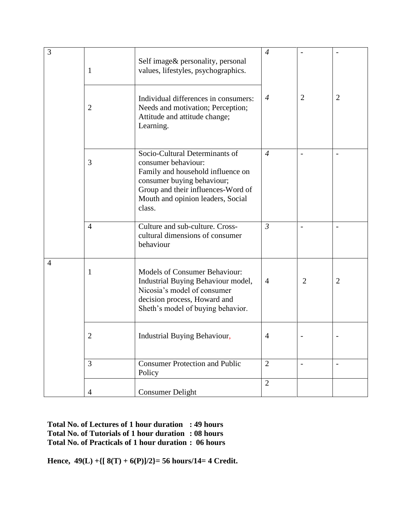| 3              | $\mathbf{1}$   | Self image & personality, personal<br>values, lifestyles, psychographics.                                                                                                                                     | $\overline{4}$ |                |                          |
|----------------|----------------|---------------------------------------------------------------------------------------------------------------------------------------------------------------------------------------------------------------|----------------|----------------|--------------------------|
|                | $\overline{2}$ | Individual differences in consumers:<br>Needs and motivation; Perception;<br>Attitude and attitude change;<br>Learning.                                                                                       | $\overline{4}$ | $\overline{2}$ | $\overline{2}$           |
|                | 3              | Socio-Cultural Determinants of<br>consumer behaviour:<br>Family and household influence on<br>consumer buying behaviour;<br>Group and their influences-Word of<br>Mouth and opinion leaders, Social<br>class. | $\overline{4}$ |                | $\overline{a}$           |
|                | $\overline{4}$ | Culture and sub-culture. Cross-<br>cultural dimensions of consumer<br>behaviour                                                                                                                               | $\mathfrak{Z}$ |                |                          |
| $\overline{4}$ | $\mathbf{1}$   | <b>Models of Consumer Behaviour:</b><br>Industrial Buying Behaviour model,<br>Nicosia's model of consumer<br>decision process, Howard and<br>Sheth's model of buying behavior.                                | $\overline{4}$ | $\overline{2}$ | $\overline{2}$           |
|                | $\overline{2}$ | Industrial Buying Behaviour,                                                                                                                                                                                  | $\overline{4}$ |                |                          |
|                | 3              | <b>Consumer Protection and Public</b><br>Policy                                                                                                                                                               | $\overline{2}$ | $\overline{a}$ | $\overline{\phantom{a}}$ |
|                | $\overline{4}$ | <b>Consumer Delight</b>                                                                                                                                                                                       | $\overline{2}$ |                |                          |

**Total No. of Lectures of 1 hour duration : 49 hours Total No. of Tutorials of 1 hour duration : 08 hours Total No. of Practicals of 1 hour duration : 06 hours**

**Hence, 49(L) +{[ 8(T) + 6(P)]/2}= 56 hours/14= 4 Credit.**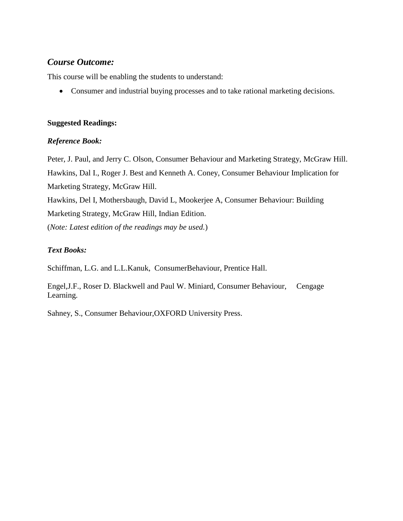## *Course Outcome:*

This course will be enabling the students to understand:

Consumer and industrial buying processes and to take rational marketing decisions.

#### **Suggested Readings:**

#### *Reference Book:*

Peter, J. Paul, and Jerry C. Olson, Consumer Behaviour and Marketing Strategy, McGraw Hill. Hawkins, Dal I., Roger J. Best and Kenneth A. Coney, Consumer Behaviour Implication for Marketing Strategy, McGraw Hill. Hawkins, Del I, Mothersbaugh, David L, Mookerjee A, Consumer Behaviour: Building Marketing Strategy, McGraw Hill, Indian Edition. (*Note: Latest edition of the readings may be used.*)

### *Text Books:*

Schiffman, L.G. and L.L.Kanuk, ConsumerBehaviour, Prentice Hall.

Engel,J.F., Roser D. Blackwell and Paul W. Miniard, Consumer Behaviour, Cengage Learning.

Sahney, S., Consumer Behaviour,OXFORD University Press.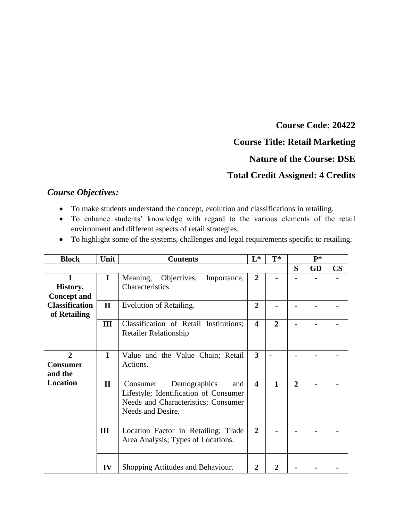**Course Code: 20422**

## **Course Title: Retail Marketing**

## **Nature of the Course: DSE**

## **Total Credit Assigned: 4 Credits**

## *Course Objectives:*

- To make students understand the concept, evolution and classifications in retailing.
- To enhance students' knowledge with regard to the various elements of the retail environment and different aspects of retail strategies.
- To highlight some of the systems, challenges and legal requirements specific to retailing.

| <b>Block</b>          | Unit         | <b>Contents</b>                        | $L^*$                   | $T^*$          | $P^*$          |    |               |
|-----------------------|--------------|----------------------------------------|-------------------------|----------------|----------------|----|---------------|
|                       |              |                                        |                         |                | S              | GD | $\mathbf{CS}$ |
| $\mathbf{1}$          | $\mathbf I$  | Meaning,<br>Objectives,<br>Importance, | $\overline{2}$          |                |                |    |               |
| History,              |              | Characteristics.                       |                         |                |                |    |               |
| <b>Concept and</b>    |              |                                        |                         |                |                |    |               |
| <b>Classification</b> | $\mathbf{I}$ | Evolution of Retailing.                | $\overline{2}$          |                |                |    |               |
| of Retailing          |              |                                        |                         |                |                |    |               |
|                       | Ш            | Classification of Retail Institutions; | $\overline{\mathbf{4}}$ | $\overline{2}$ |                |    |               |
|                       |              | <b>Retailer Relationship</b>           |                         |                |                |    |               |
|                       |              |                                        |                         |                |                |    |               |
| $\overline{2}$        | I            | Value and the Value Chain; Retail      | $\overline{\mathbf{3}}$ |                |                |    |               |
| <b>Consumer</b>       |              | Actions.                               |                         |                |                |    |               |
| and the               |              |                                        |                         |                |                |    |               |
| <b>Location</b>       | $\mathbf{I}$ | Demographics<br>Consumer<br>and        | $\overline{\mathbf{4}}$ | $\mathbf{1}$   | $\overline{2}$ |    |               |
|                       |              | Lifestyle; Identification of Consumer  |                         |                |                |    |               |
|                       |              | Needs and Characteristics; Consumer    |                         |                |                |    |               |
|                       |              | Needs and Desire.                      |                         |                |                |    |               |
|                       |              |                                        |                         |                |                |    |               |
|                       | III          | Location Factor in Retailing; Trade    | $\overline{2}$          |                |                |    |               |
|                       |              | Area Analysis; Types of Locations.     |                         |                |                |    |               |
|                       |              |                                        |                         |                |                |    |               |
|                       | IV           | Shopping Attitudes and Behaviour.      | 2                       |                |                |    |               |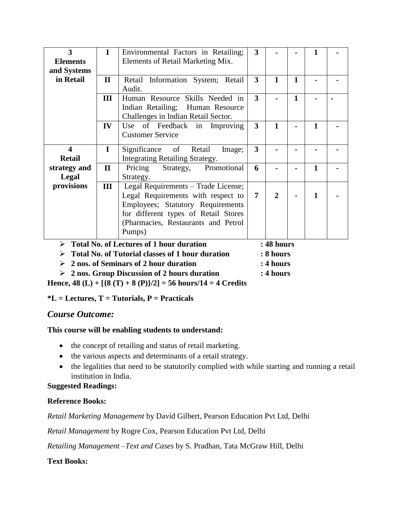| $\overline{\mathbf{3}}$                                              | $\mathbf I$  | Environmental Factors in Retailing;             | 3                       |              |              |              |  |
|----------------------------------------------------------------------|--------------|-------------------------------------------------|-------------------------|--------------|--------------|--------------|--|
| <b>Elements</b>                                                      |              | Elements of Retail Marketing Mix.               |                         |              |              |              |  |
| and Systems                                                          |              |                                                 |                         |              |              |              |  |
| in Retail                                                            | $\mathbf{I}$ | Retail Information System; Retail               | 3                       | $\mathbf{1}$ | 1            |              |  |
|                                                                      |              | Audit.                                          |                         |              |              |              |  |
|                                                                      | III          | Human Resource Skills Needed in                 | 3                       |              | $\mathbf{1}$ |              |  |
|                                                                      |              | Indian Retailing; Human Resource                |                         |              |              |              |  |
|                                                                      |              | Challenges in Indian Retail Sector.             |                         |              |              |              |  |
|                                                                      | IV           | Use of Feedback in Improving                    | $\overline{\mathbf{3}}$ | 1            |              | 1            |  |
|                                                                      |              | <b>Customer Service</b>                         |                         |              |              |              |  |
|                                                                      |              |                                                 |                         |              |              |              |  |
| $\overline{\mathbf{4}}$                                              | $\mathbf I$  | Significance of Retail<br>Image;                | 3                       |              |              |              |  |
| <b>Retail</b>                                                        |              | Integrating Retailing Strategy.                 |                         |              |              |              |  |
| strategy and                                                         | $\mathbf{I}$ | Strategy, Promotional<br>Pricing                | 6                       |              |              | 1            |  |
| <b>Legal</b>                                                         |              | Strategy.                                       |                         |              |              |              |  |
| provisions                                                           | III          | Legal Requirements - Trade License;             |                         |              |              |              |  |
|                                                                      |              | Legal Requirements with respect to              | 7                       | $\mathbf{2}$ |              | $\mathbf{1}$ |  |
|                                                                      |              | Employees; Statutory Requirements               |                         |              |              |              |  |
|                                                                      |              | for different types of Retail Stores            |                         |              |              |              |  |
|                                                                      |              | (Pharmacies, Restaurants and Petrol             |                         |              |              |              |  |
|                                                                      |              | Pumps)                                          |                         |              |              |              |  |
|                                                                      |              |                                                 |                         |              |              |              |  |
| ➤                                                                    |              | <b>Total No. of Lectures of 1 hour duration</b> |                         | : 48 hours   |              |              |  |
| <b>Total No. of Tutorial classes of 1 hour duration</b><br>: 8 hours |              |                                                 |                         |              |              |              |  |
| 2 nos. of Seminars of 2 hour duration<br>: 4 hours<br>⋗              |              |                                                 |                         |              |              |              |  |

**2 nos. Group Discussion of 2 hours duration : 4 hours**

**Hence, 48 (L) + [{8 (T) + 8 (P)}/2] = 56 hours/14 = 4 Credits**

#### **\*L = Lectures, T = Tutorials, P = Practicals**

#### *Course Outcome:*

#### **This course will be enabling students to understand:**

- the concept of retailing and status of retail marketing.
- the various aspects and determinants of a retail strategy.
- the legalities that need to be statutorily complied with while starting and running a retail institution in India.

## **Suggested Readings:**

#### **Reference Books:**

*Retail Marketing Management* by David Gilbert, Pearson Education Pvt Ltd, Delhi

*Retail Management* by Rogre Cox, Pearson Education Pvt Ltd, Delhi

*Retailing Management –Text and Cases* by S. Pradhan, Tata McGraw Hill, Delhi

#### **Text Books:**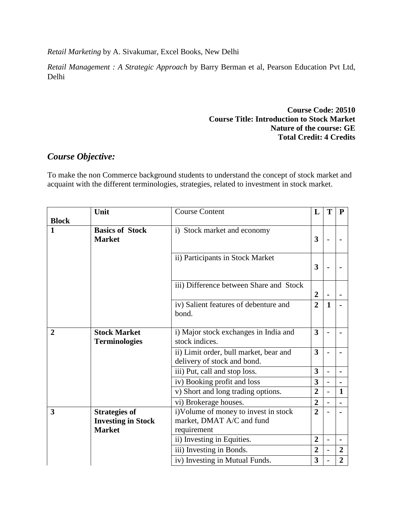*Retail Marketing* by A. Sivakumar, Excel Books, New Delhi

*Retail Management : A Strategic Approach* by Barry Berman et al, Pearson Education Pvt Ltd, Delhi

#### **Course Code: 20510 Course Title: Introduction to Stock Market Nature of the course: GE Total Credit: 4 Credits**

## *Course Objective:*

To make the non Commerce background students to understand the concept of stock market and acquaint with the different terminologies, strategies, related to investment in stock market.

|                | Unit                                        | <b>Course Content</b>                                                 | L                       | T                        | ${\bf P}$        |
|----------------|---------------------------------------------|-----------------------------------------------------------------------|-------------------------|--------------------------|------------------|
| <b>Block</b>   |                                             |                                                                       |                         |                          |                  |
| $\mathbf{1}$   | <b>Basics of Stock</b><br><b>Market</b>     | i) Stock market and economy                                           | 3                       | $\overline{\phantom{0}}$ |                  |
|                |                                             | ii) Participants in Stock Market                                      | 3                       |                          |                  |
|                |                                             | iii) Difference between Share and Stock                               | $\overline{2}$          |                          |                  |
|                |                                             | iv) Salient features of debenture and<br>bond.                        | $\overline{2}$          | $\mathbf{1}$             |                  |
| $\overline{2}$ | <b>Stock Market</b><br><b>Terminologies</b> | i) Major stock exchanges in India and<br>stock indices.               | $\overline{\mathbf{3}}$ | $\overline{\phantom{a}}$ |                  |
|                |                                             | ii) Limit order, bull market, bear and<br>delivery of stock and bond. | $\overline{\mathbf{3}}$ |                          |                  |
|                |                                             | iii) Put, call and stop loss.                                         | 3                       | $\overline{a}$           |                  |
|                |                                             | iv) Booking profit and loss                                           | 3                       | $\overline{a}$           |                  |
|                |                                             | v) Short and long trading options.                                    | $\overline{2}$          |                          | $\mathbf{1}$     |
|                |                                             | vi) Brokerage houses.                                                 | $\overline{2}$          |                          |                  |
| 3              | <b>Strategies of</b>                        | i)Volume of money to invest in stock                                  | $\overline{2}$          |                          |                  |
|                | <b>Investing in Stock</b>                   | market, DMAT A/C and fund                                             |                         |                          |                  |
|                | <b>Market</b>                               | requirement                                                           |                         |                          |                  |
|                |                                             | ii) Investing in Equities.                                            | $\overline{2}$          |                          | $\blacksquare$   |
|                |                                             | iii) Investing in Bonds.                                              | $\overline{2}$          | $\overline{\phantom{0}}$ | $\boldsymbol{2}$ |
|                |                                             | iv) Investing in Mutual Funds.                                        | 3                       |                          | $\overline{2}$   |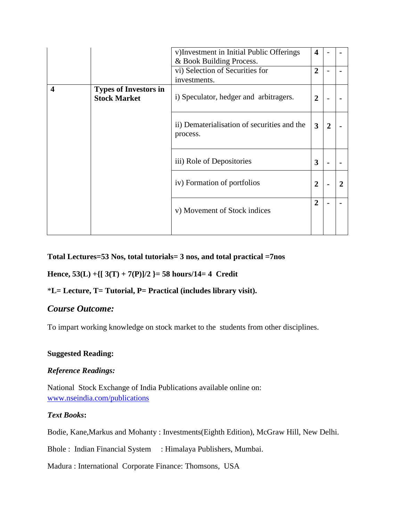|   |                                                     | v) Investment in Initial Public Offerings<br>& Book Building Process. | $\boldsymbol{4}$ |                |  |
|---|-----------------------------------------------------|-----------------------------------------------------------------------|------------------|----------------|--|
|   |                                                     | vi) Selection of Securities for<br>investments.                       | $\overline{2}$   |                |  |
| 4 | <b>Types of Investors in</b><br><b>Stock Market</b> | i) Speculator, hedger and arbitragers.                                | $\mathbf{2}$     |                |  |
|   |                                                     | ii) Dematerialisation of securities and the<br>process.               | 3                | $\overline{2}$ |  |
|   |                                                     | iii) Role of Depositories                                             | 3                |                |  |
|   |                                                     | iv) Formation of portfolios                                           | $\overline{2}$   |                |  |
|   |                                                     | v) Movement of Stock indices                                          | $\overline{2}$   |                |  |
|   |                                                     |                                                                       |                  |                |  |

#### **Total Lectures=53 Nos, total tutorials= 3 nos, and total practical =7nos**

#### **Hence, 53(L) +{[ 3(T) + 7(P)]/2 }= 58 hours/14= 4 Credit**

#### \***L= Lecture, T= Tutorial, P= Practical (includes library visit).**

## *Course Outcome:*

To impart working knowledge on stock market to the students from other disciplines.

## **Suggested Reading:**

#### *Reference Readings:*

National Stock Exchange of India Publications available online on: [www.nseindia.com/publications](http://www.nseindia.com/publications)

#### *Text Books***:**

Bodie, Kane,Markus and Mohanty : Investments(Eighth Edition), McGraw Hill, New Delhi.

Bhole : Indian Financial System : Himalaya Publishers, Mumbai.

Madura : International Corporate Finance: Thomsons, USA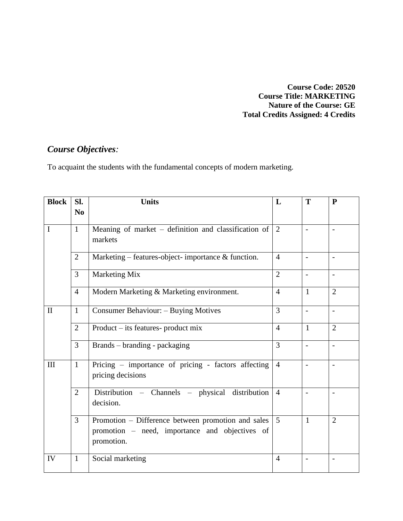**Course Code: 20520 Course Title: MARKETING Nature of the Course: GE Total Credits Assigned: 4 Credits**

# *Course Objectives:*

To acquaint the students with the fundamental concepts of modern marketing.

| <b>Block</b> | Sl.            | <b>Units</b>                                                                                                       | L              | T                        | $\mathbf{P}$             |
|--------------|----------------|--------------------------------------------------------------------------------------------------------------------|----------------|--------------------------|--------------------------|
|              | N <sub>0</sub> |                                                                                                                    |                |                          |                          |
| $\mathbf I$  | $\mathbf{1}$   | Meaning of market – definition and classification of<br>markets                                                    | 2              |                          |                          |
|              | 2              | Marketing – features-object- importance & function.                                                                | $\overline{4}$ | $\overline{a}$           | $\overline{\phantom{a}}$ |
|              | $\overline{3}$ | Marketing Mix                                                                                                      | $\overline{2}$ | $\overline{\phantom{a}}$ |                          |
|              | $\overline{4}$ | Modern Marketing & Marketing environment.                                                                          | $\overline{4}$ | $\mathbf{1}$             | $\overline{2}$           |
| $\mathbf{I}$ | $\mathbf{1}$   | Consumer Behaviour: - Buying Motives                                                                               | $\overline{3}$ | $\overline{\phantom{a}}$ |                          |
|              | $\overline{2}$ | Product – its features- product mix                                                                                | $\overline{4}$ | $\mathbf{1}$             | $\overline{2}$           |
|              | 3              | Brands – branding - packaging                                                                                      | 3              | $\blacksquare$           | $\overline{\phantom{a}}$ |
| III          | $\mathbf{1}$   | Pricing – importance of pricing - factors affecting<br>pricing decisions                                           | $\overline{4}$ |                          |                          |
|              | $\overline{2}$ | Distribution - Channels - physical distribution<br>decision.                                                       | $\overline{4}$ | $\overline{a}$           | $\overline{\phantom{a}}$ |
|              | $\overline{3}$ | Promotion – Difference between promotion and sales<br>promotion – need, importance and objectives of<br>promotion. | $\overline{5}$ | $\mathbf{1}$             | $\overline{2}$           |
| IV           | $\mathbf{1}$   | Social marketing                                                                                                   | $\overline{4}$ |                          |                          |